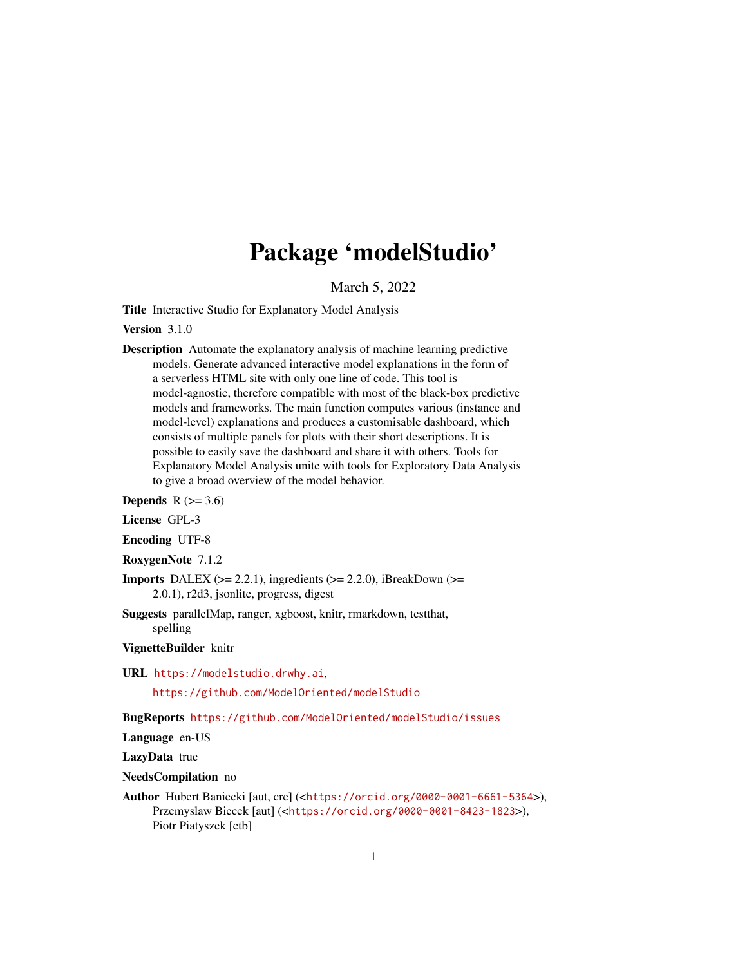## Package 'modelStudio'

March 5, 2022

Title Interactive Studio for Explanatory Model Analysis

Version 3.1.0

Description Automate the explanatory analysis of machine learning predictive models. Generate advanced interactive model explanations in the form of a serverless HTML site with only one line of code. This tool is model-agnostic, therefore compatible with most of the black-box predictive models and frameworks. The main function computes various (instance and model-level) explanations and produces a customisable dashboard, which consists of multiple panels for plots with their short descriptions. It is possible to easily save the dashboard and share it with others. Tools for Explanatory Model Analysis unite with tools for Exploratory Data Analysis to give a broad overview of the model behavior.

Depends  $R$  ( $>= 3.6$ )

License GPL-3

Encoding UTF-8

RoxygenNote 7.1.2

- **Imports** DALEX ( $>= 2.2.1$ ), ingredients ( $>= 2.2.0$ ), iBreakDown ( $>=$ 2.0.1), r2d3, jsonlite, progress, digest
- Suggests parallelMap, ranger, xgboost, knitr, rmarkdown, testthat, spelling

VignetteBuilder knitr

URL <https://modelstudio.drwhy.ai>,

<https://github.com/ModelOriented/modelStudio>

BugReports <https://github.com/ModelOriented/modelStudio/issues>

Language en-US

LazyData true

NeedsCompilation no

Author Hubert Baniecki [aut, cre] (<<https://orcid.org/0000-0001-6661-5364>>), Przemyslaw Biecek [aut] (<<https://orcid.org/0000-0001-8423-1823>>), Piotr Piatyszek [ctb]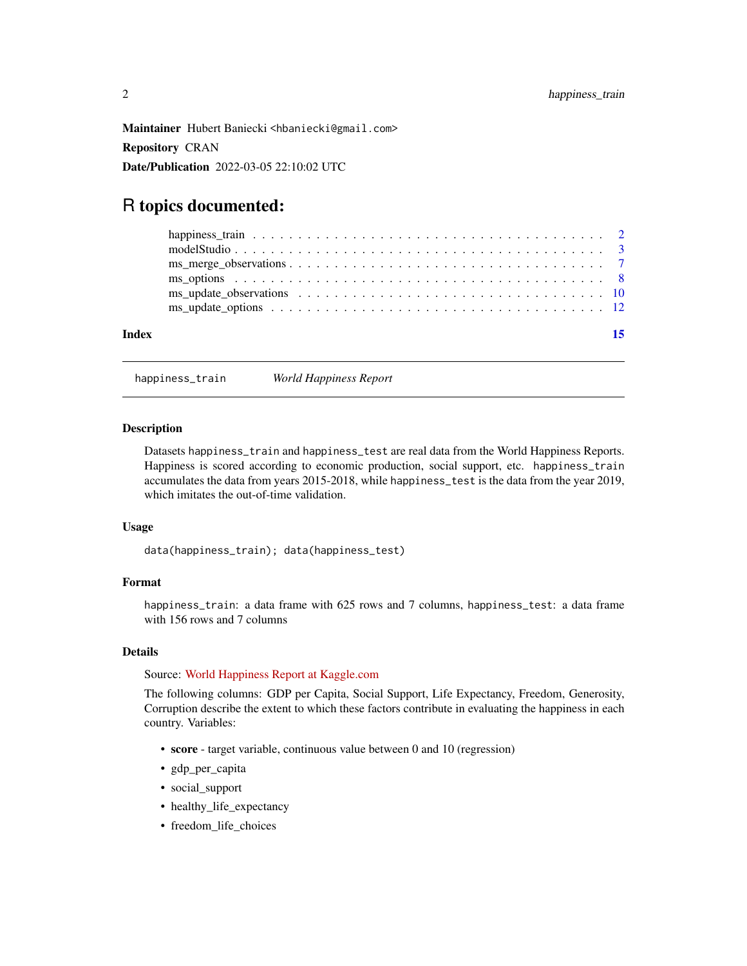<span id="page-1-0"></span>Maintainer Hubert Baniecki <hbaniecki@gmail.com> Repository CRAN Date/Publication 2022-03-05 22:10:02 UTC

### R topics documented:

| Index |  |
|-------|--|
|       |  |
|       |  |
|       |  |
|       |  |
|       |  |
|       |  |

happiness\_train *World Happiness Report*

#### Description

Datasets happiness\_train and happiness\_test are real data from the World Happiness Reports. Happiness is scored according to economic production, social support, etc. happiness\_train accumulates the data from years 2015-2018, while happiness\_test is the data from the year 2019, which imitates the out-of-time validation.

#### Usage

data(happiness\_train); data(happiness\_test)

#### Format

happiness\_train: a data frame with 625 rows and 7 columns, happiness\_test: a data frame with 156 rows and 7 columns

#### Details

Source: [World Happiness Report at Kaggle.com](https://www.kaggle.com/unsdsn/world-happiness)

The following columns: GDP per Capita, Social Support, Life Expectancy, Freedom, Generosity, Corruption describe the extent to which these factors contribute in evaluating the happiness in each country. Variables:

- score target variable, continuous value between 0 and 10 (regression)
- gdp\_per\_capita
- social\_support
- healthy\_life\_expectancy
- freedom\_life\_choices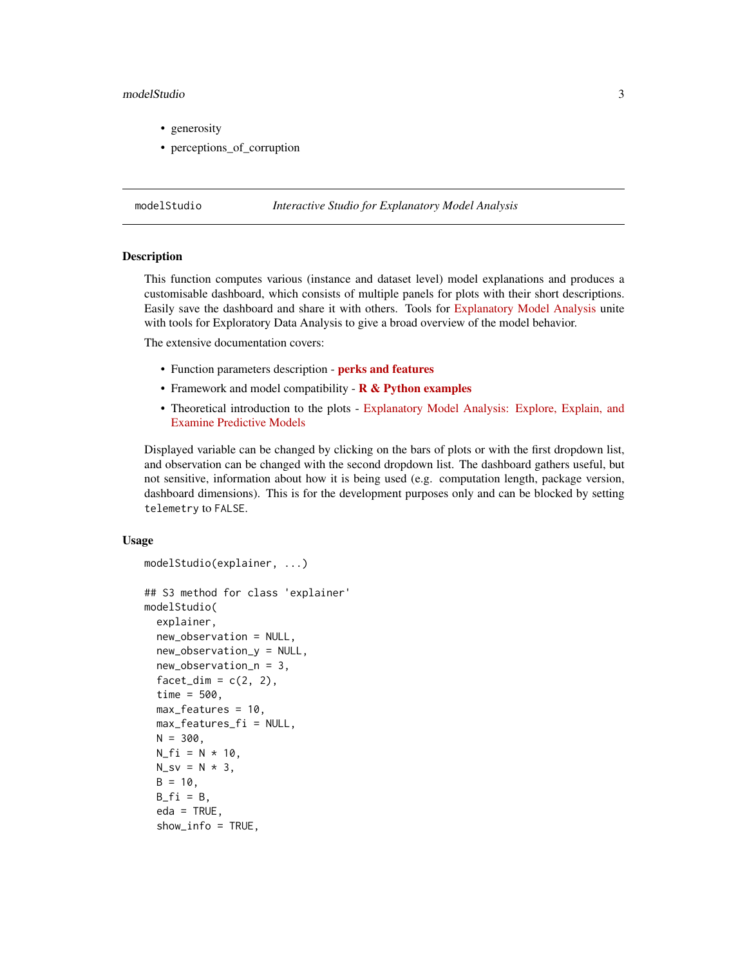#### <span id="page-2-0"></span>modelStudio 3

- generosity
- perceptions\_of\_corruption

#### <span id="page-2-1"></span>modelStudio *Interactive Studio for Explanatory Model Analysis*

#### Description

This function computes various (instance and dataset level) model explanations and produces a customisable dashboard, which consists of multiple panels for plots with their short descriptions. Easily save the dashboard and share it with others. Tools for [Explanatory Model Analysis](https://ema.drwhy.ai/) unite with tools for Exploratory Data Analysis to give a broad overview of the model behavior.

The extensive documentation covers:

- Function parameters description [perks and features](https://modelstudio.drwhy.ai/articles/ms-perks-features.html)
- Framework and model compatibility  $R &$  Python examples
- Theoretical introduction to the plots [Explanatory Model Analysis: Explore, Explain, and](https://ema.drwhy.ai/) [Examine Predictive Models](https://ema.drwhy.ai/)

Displayed variable can be changed by clicking on the bars of plots or with the first dropdown list, and observation can be changed with the second dropdown list. The dashboard gathers useful, but not sensitive, information about how it is being used (e.g. computation length, package version, dashboard dimensions). This is for the development purposes only and can be blocked by setting telemetry to FALSE.

#### Usage

```
modelStudio(explainer, ...)
## S3 method for class 'explainer'
modelStudio(
  explainer,
  new_observation = NULL,
  new_observation_y = NULL,
  new_observation_n = 3,
  factor\_dim = c(2, 2),
  time = 500,
 max_features = 10,
 max_features_fi = NULL,
 N = 300,N_{f}i = N * 10,
 N_sv = N * 3,
 B = 10,
 B_fi = B,
  eda = TRUE,
  show_info = TRUE,
```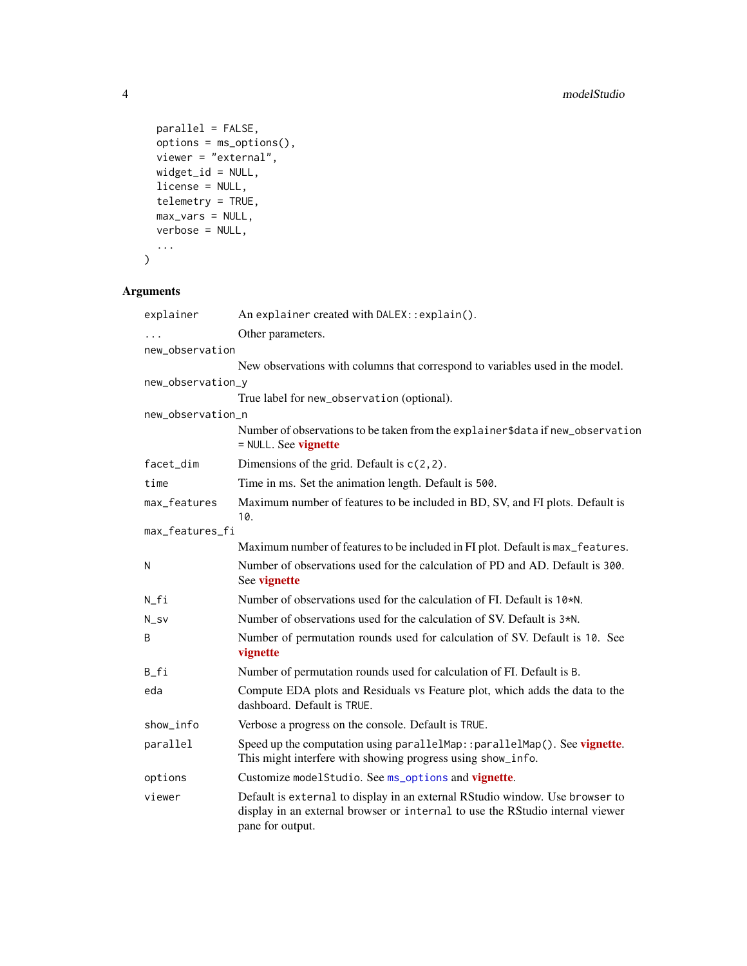```
parallel = FALSE,options = ms_options(),
 viewer = "external",
 widget_id = NULL,
 license = NULL,
 telemetry = TRUE,
 max_vars = NULL,
 verbose = NULL,
  ...
)
```
#### Arguments

| explainer         | An explainer created with DALEX:: explain().                                                                                                                                      |
|-------------------|-----------------------------------------------------------------------------------------------------------------------------------------------------------------------------------|
| $\cdots$          | Other parameters.                                                                                                                                                                 |
| new_observation   |                                                                                                                                                                                   |
|                   | New observations with columns that correspond to variables used in the model.                                                                                                     |
| new_observation_y |                                                                                                                                                                                   |
|                   | True label for new_observation (optional).                                                                                                                                        |
| new_observation_n |                                                                                                                                                                                   |
|                   | Number of observations to be taken from the explainer\$data if new_observation<br>$=$ NULL. See vignette                                                                          |
| facet_dim         | Dimensions of the grid. Default is $c(2, 2)$ .                                                                                                                                    |
| time              | Time in ms. Set the animation length. Default is 500.                                                                                                                             |
| max_features      | Maximum number of features to be included in BD, SV, and FI plots. Default is<br>10.                                                                                              |
| max_features_fi   |                                                                                                                                                                                   |
|                   | Maximum number of features to be included in FI plot. Default is max_features.                                                                                                    |
| N                 | Number of observations used for the calculation of PD and AD. Default is 300.<br>See vignette                                                                                     |
| $N_f$ i           | Number of observations used for the calculation of FI. Default is 10 <sup>*N</sup> .                                                                                              |
| $N_Sv$            | Number of observations used for the calculation of SV. Default is $3*N$ .                                                                                                         |
| B                 | Number of permutation rounds used for calculation of SV. Default is 10. See<br>vignette                                                                                           |
| B_fi              | Number of permutation rounds used for calculation of FI. Default is B.                                                                                                            |
| eda               | Compute EDA plots and Residuals vs Feature plot, which adds the data to the<br>dashboard. Default is TRUE.                                                                        |
| show_info         | Verbose a progress on the console. Default is TRUE.                                                                                                                               |
| parallel          | Speed up the computation using parallelMap:: parallelMap(). See vignette.<br>This might interfere with showing progress using show_info.                                          |
| options           | Customize modelStudio. See ms_options and vignette.                                                                                                                               |
| viewer            | Default is external to display in an external RStudio window. Use browser to<br>display in an external browser or internal to use the RStudio internal viewer<br>pane for output. |

<span id="page-3-0"></span>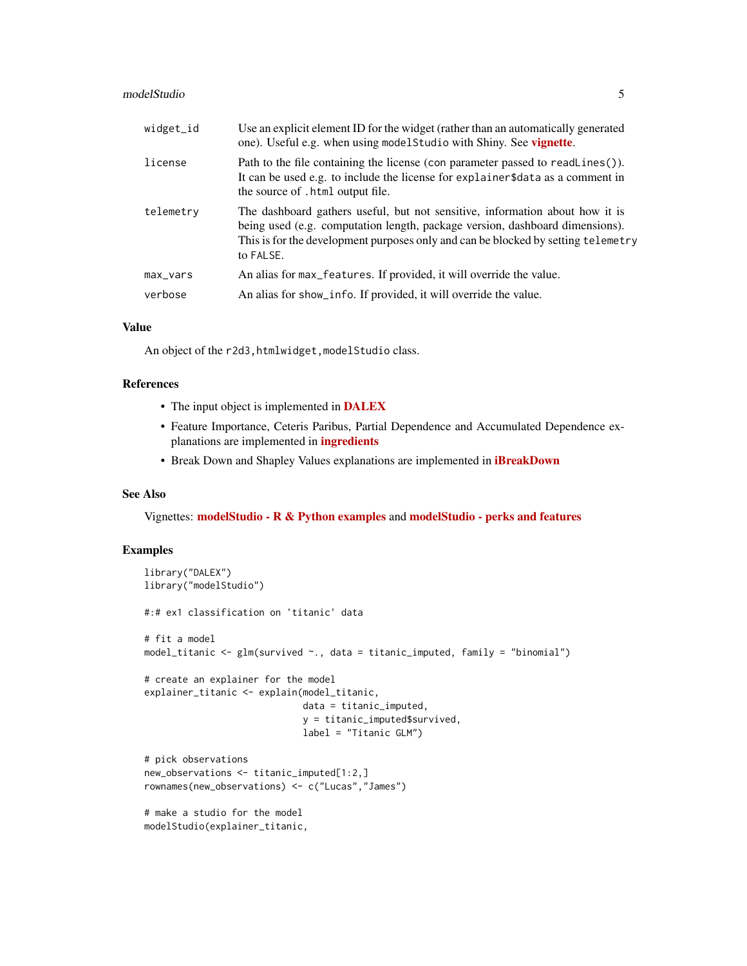#### modelStudio 5

| widget_id | Use an explicit element ID for the widget (rather than an automatically generated<br>one). Useful e.g. when using model Studio with Shiny. See <b>vignette</b> .                                                                                               |
|-----------|----------------------------------------------------------------------------------------------------------------------------------------------------------------------------------------------------------------------------------------------------------------|
| license   | Path to the file containing the license (con parameter passed to readLines()).<br>It can be used e.g. to include the license for explainer\$data as a comment in<br>the source of . html output file.                                                          |
| telemetry | The dashboard gathers useful, but not sensitive, information about how it is<br>being used (e.g. computation length, package version, dashboard dimensions).<br>This is for the development purposes only and can be blocked by setting telemetry<br>to FALSE. |
| max_vars  | An alias for max_features. If provided, it will override the value.                                                                                                                                                                                            |
| verbose   | An alias for show_info. If provided, it will override the value.                                                                                                                                                                                               |

#### Value

An object of the r2d3, htmlwidget, modelStudio class.

#### References

- The input object is implemented in **[DALEX](https://modeloriented.github.io/DALEX/)**
- Feature Importance, Ceteris Paribus, Partial Dependence and Accumulated Dependence explanations are implemented in **[ingredients](https://modeloriented.github.io/ingredients/)**
- Break Down and Shapley Values explanations are implemented in *[iBreakDown](https://modeloriented.github.io/iBreakDown/)*

#### See Also

Vignettes: [modelStudio - R & Python examples](https://modelstudio.drwhy.ai/articles/ms-r-python-examples.html) and [modelStudio - perks and features](https://modelstudio.drwhy.ai/articles/ms-perks-features.html)

```
library("DALEX")
library("modelStudio")
#:# ex1 classification on 'titanic' data
# fit a model
model_titanic <- glm(survived ~., data = titanic_imputed, family = "binomial")
# create an explainer for the model
explainer_titanic <- explain(model_titanic,
                             data = titanic_imputed,
                             y = titanic_imputed$survived,
                             label = "Titanic GLM")
# pick observations
new_observations <- titanic_imputed[1:2,]
rownames(new_observations) <- c("Lucas","James")
# make a studio for the model
modelStudio(explainer_titanic,
```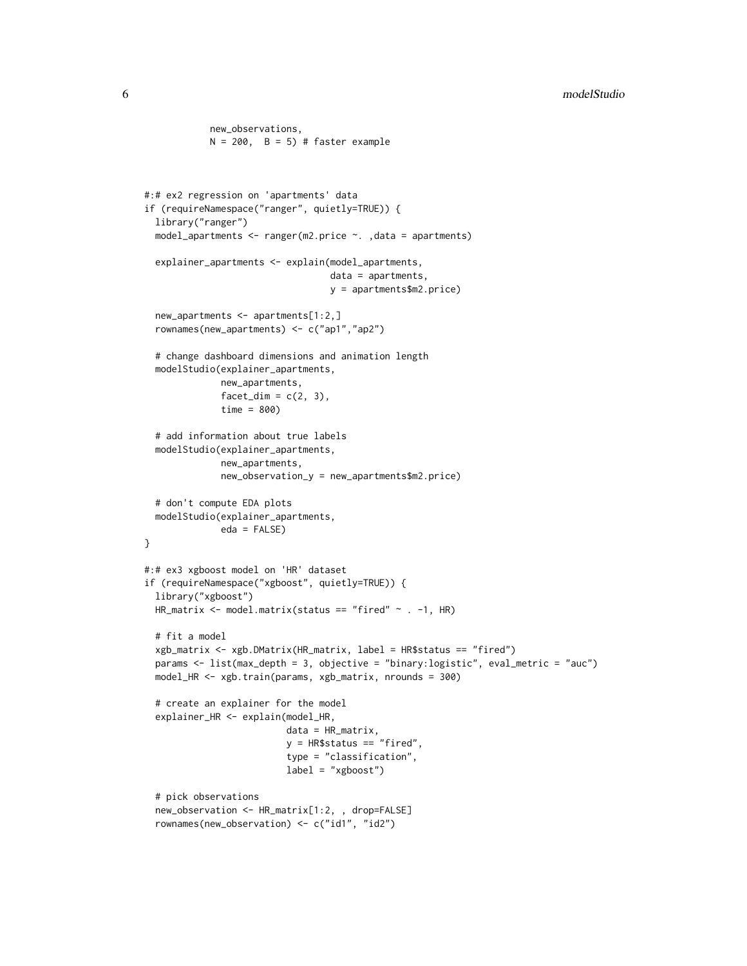```
N = 200, B = 5) # faster example
#:# ex2 regression on 'apartments' data
if (requireNamespace("ranger", quietly=TRUE)) {
  library("ranger")
  model_apartments <- ranger(m2.price ~. ,data = apartments)
  explainer_apartments <- explain(model_apartments,
                                  data = apartments,
                                  y = apartments$m2.price)
  new_apartments <- apartments[1:2,]
  rownames(new_apartments) <- c("ap1","ap2")
  # change dashboard dimensions and animation length
  modelStudio(explainer_apartments,
              new_apartments,
              factor\_dim = c(2, 3),time = 800)
  # add information about true labels
  modelStudio(explainer_apartments,
              new_apartments,
              new_observation_y = new_apartments$m2.price)
  # don't compute EDA plots
  modelStudio(explainer_apartments,
              eda = FALSE)
}
#:# ex3 xgboost model on 'HR' dataset
if (requireNamespace("xgboost", quietly=TRUE)) {
  library("xgboost")
  HR_matrix <- model.matrix(status == "fired" ~ . -1, HR)
  # fit a model
  xgb_matrix <- xgb.DMatrix(HR_matrix, label = HR$status == "fired")
  params <- list(max_depth = 3, objective = "binary:logistic", eval_metric = "auc")
  model_HR <- xgb.train(params, xgb_matrix, nrounds = 300)
  # create an explainer for the model
  explainer_HR <- explain(model_HR,
                          data = HR_matrix,y = HR$status == "fired",type = "classification",
                          label = "xgboost")
  # pick observations
  new_observation <- HR_matrix[1:2, , drop=FALSE]
  rownames(new_observation) <- c("id1", "id2")
```
new\_observations,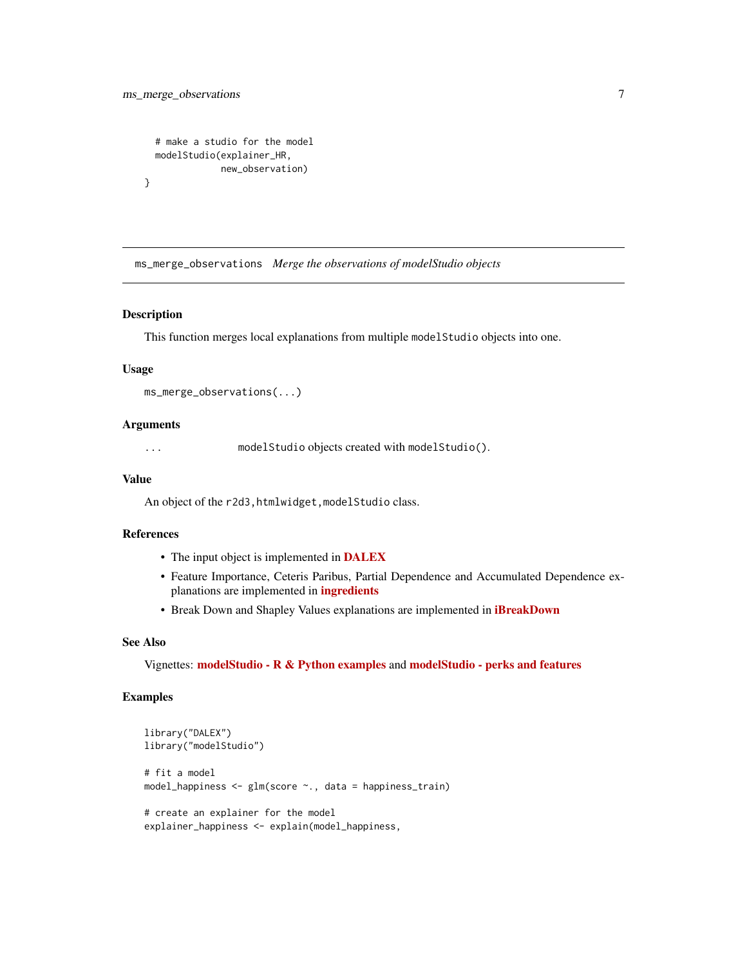```
# make a studio for the model
modelStudio(explainer_HR,
           new_observation)
```
ms\_merge\_observations *Merge the observations of modelStudio objects*

#### Description

}

This function merges local explanations from multiple modelStudio objects into one.

#### Usage

```
ms_merge_observations(...)
```
#### **Arguments**

... modelStudio objects created with modelStudio().

#### Value

An object of the r2d3, htmlwidget, modelStudio class.

#### References

- The input object is implemented in [DALEX](https://modeloriented.github.io/DALEX/)
- Feature Importance, Ceteris Paribus, Partial Dependence and Accumulated Dependence explanations are implemented in [ingredients](https://modeloriented.github.io/ingredients/)
- Break Down and Shapley Values explanations are implemented in *[iBreakDown](https://modeloriented.github.io/iBreakDown/)*

#### See Also

Vignettes: [modelStudio - R & Python examples](https://modelstudio.drwhy.ai/articles/ms-r-python-examples.html) and [modelStudio - perks and features](https://modelstudio.drwhy.ai/articles/ms-perks-features.html)

```
library("DALEX")
library("modelStudio")
# fit a model
model_happiness <- glm(score ~., data = happiness_train)
# create an explainer for the model
explainer_happiness <- explain(model_happiness,
```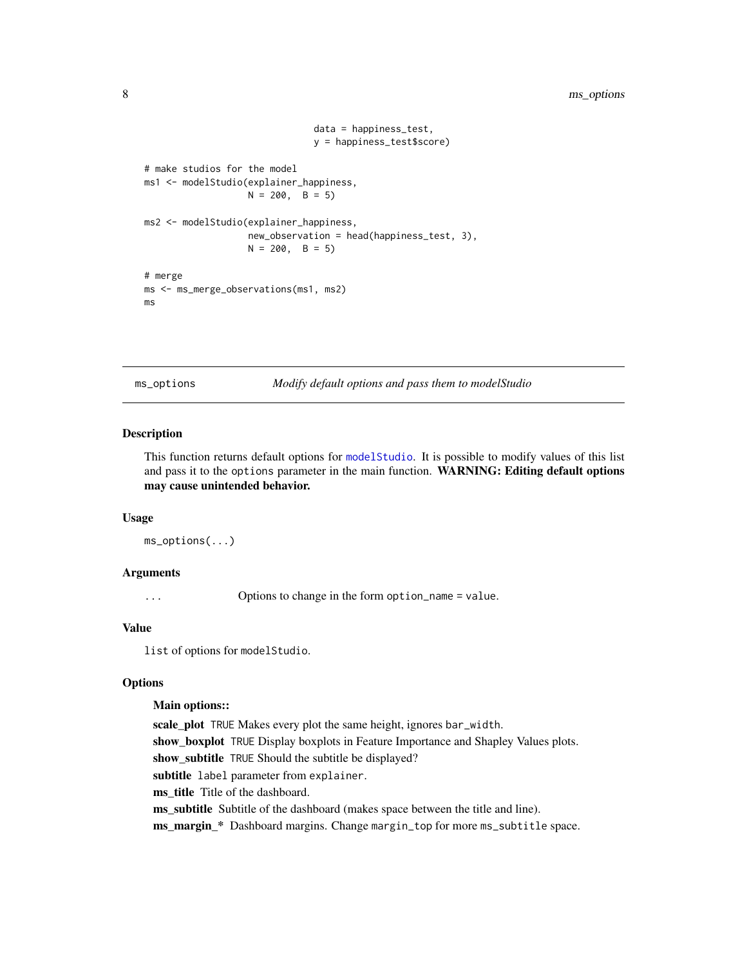```
data = happiness_test,
                               y = happiness_test$score)
# make studios for the model
ms1 <- modelStudio(explainer_happiness,
                   N = 200, B = 5ms2 <- modelStudio(explainer_happiness,
                   new_observation = head(happiness_test, 3),
                   N = 200, B = 5)# merge
ms <- ms_merge_observations(ms1, ms2)
ms
```
<span id="page-7-1"></span>ms\_options *Modify default options and pass them to modelStudio*

#### Description

This function returns default options for [modelStudio](#page-2-1). It is possible to modify values of this list and pass it to the options parameter in the main function. WARNING: Editing default options may cause unintended behavior.

#### Usage

ms\_options(...)

#### Arguments

... Options to change in the form option\_name = value.

#### Value

list of options for modelStudio.

#### **Options**

#### Main options::

scale\_plot TRUE Makes every plot the same height, ignores bar\_width. show\_boxplot TRUE Display boxplots in Feature Importance and Shapley Values plots. show\_subtitle TRUE Should the subtitle be displayed? subtitle label parameter from explainer. ms\_title Title of the dashboard. ms\_subtitle Subtitle of the dashboard (makes space between the title and line). ms\_margin\_\* Dashboard margins. Change margin\_top for more ms\_subtitle space.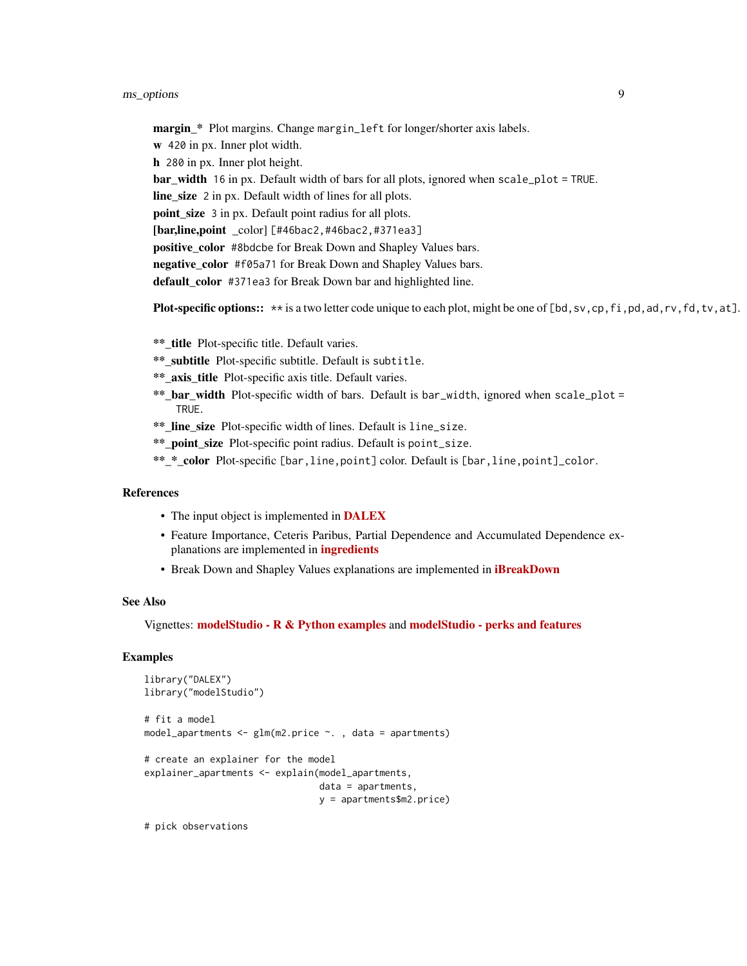margin\_\* Plot margins. Change margin\_left for longer/shorter axis labels. w 420 in px. Inner plot width. h 280 in px. Inner plot height. bar\_width 16 in px. Default width of bars for all plots, ignored when scale\_plot = TRUE. line size 2 in px. Default width of lines for all plots. point\_size 3 in px. Default point radius for all plots. [bar,line,point color] [#46bac2,#46bac2,#371ea3] positive color #8bdcbe for Break Down and Shapley Values bars. negative color #f05a71 for Break Down and Shapley Values bars. default\_color #371ea3 for Break Down bar and highlighted line.

**Plot-specific options::**  $**$  is a two letter code unique to each plot, might be one of [bd, sv,cp, fi,pd, ad,rv, fd, tv, at].

\*\* title Plot-specific title. Default varies.

- \*\*\_subtitle Plot-specific subtitle. Default is subtitle.
- \*\* axis title Plot-specific axis title. Default varies.
- \*\*\_bar\_width Plot-specific width of bars. Default is bar\_width, ignored when scale\_plot = TRUE.
- \*\*\_line\_size Plot-specific width of lines. Default is line\_size.
- \*\*\_point\_size Plot-specific point radius. Default is point\_size.
- \*\*\_\*\_color Plot-specific [bar,line,point] color. Default is [bar,line,point]\_color.

#### References

- The input object is implemented in [DALEX](https://modeloriented.github.io/DALEX/)
- Feature Importance, Ceteris Paribus, Partial Dependence and Accumulated Dependence explanations are implemented in [ingredients](https://modeloriented.github.io/ingredients/)
- Break Down and Shapley Values explanations are implemented in *[iBreakDown](https://modeloriented.github.io/iBreakDown/)*

#### See Also

Vignettes: [modelStudio - R & Python examples](https://modelstudio.drwhy.ai/articles/ms-r-python-examples.html) and [modelStudio - perks and features](https://modelstudio.drwhy.ai/articles/ms-perks-features.html)

#### Examples

```
library("DALEX")
library("modelStudio")
# fit a model
model_apartments \leq glm(m2.price \sim., data = apartments)
# create an explainer for the model
explainer_apartments <- explain(model_apartments,
                                 data = apartments,
                                 y = apartments$m2.price)
```
# pick observations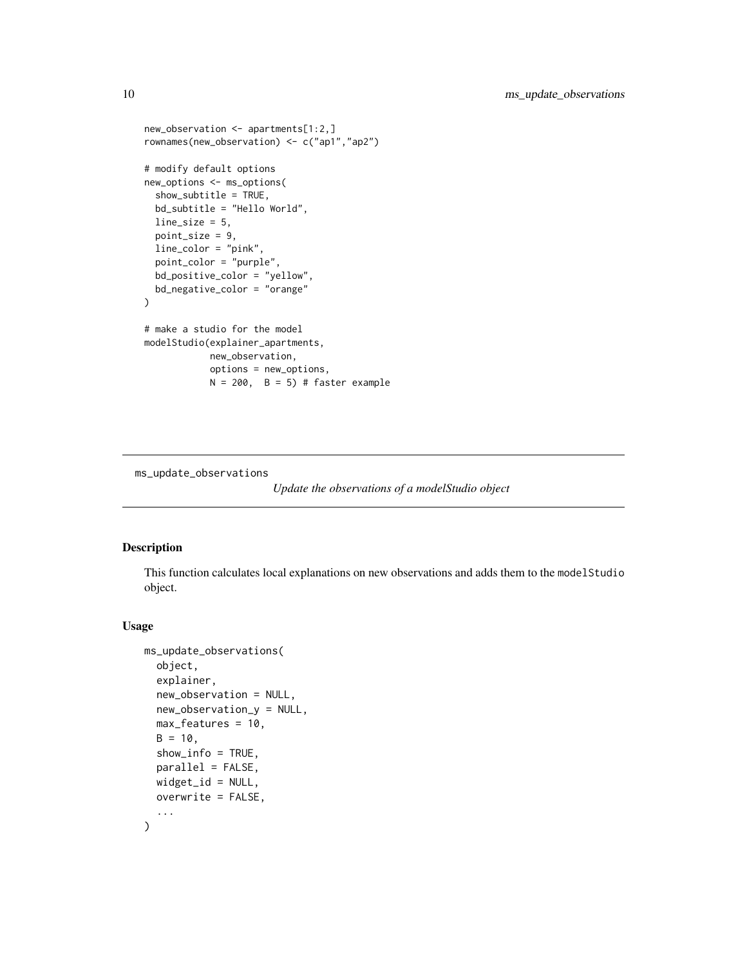```
new_observation <- apartments[1:2,]
rownames(new_observation) <- c("ap1","ap2")
# modify default options
new_options <- ms_options(
  show_subtitle = TRUE,
  bd_subtitle = "Hello World",
  line_size = 5,
  point_size = 9,
  line_color = "pink",
  point_color = "purple",
  bd_positive_color = "yellow",
  bd_negative_color = "orange"
\mathcal{L}# make a studio for the model
modelStudio(explainer_apartments,
            new_observation,
            options = new_options,
            N = 200, B = 5) # faster example
```
ms\_update\_observations

*Update the observations of a modelStudio object*

#### Description

This function calculates local explanations on new observations and adds them to the modelStudio object.

#### Usage

```
ms_update_observations(
  object,
  explainer,
  new_observation = NULL,
  new_observation_y = NULL,
  max_features = 10,
  B = 10,
  show_info = TRUE,
  parallel = FALSE,
  widget_id = NULL,
  overwrite = FALSE,
  ...
)
```
<span id="page-9-0"></span>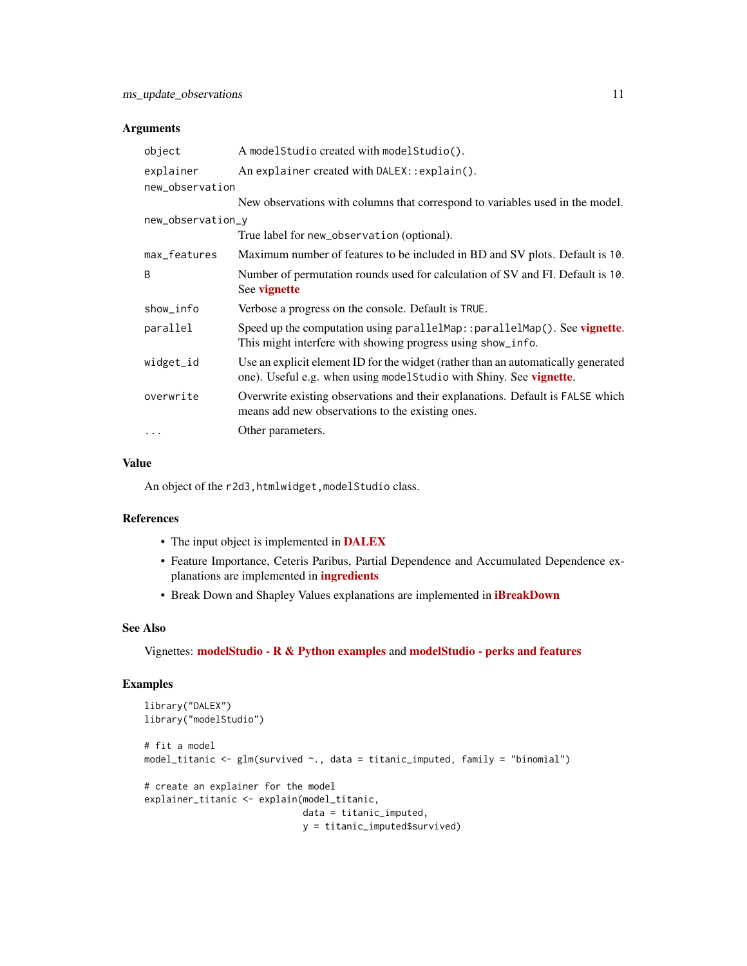#### Arguments

| object            | A modelStudio created with modelStudio().                                                                                                                |  |  |  |
|-------------------|----------------------------------------------------------------------------------------------------------------------------------------------------------|--|--|--|
| explainer         | An explainer created with DALEX:: explain().                                                                                                             |  |  |  |
| new_observation   |                                                                                                                                                          |  |  |  |
|                   | New observations with columns that correspond to variables used in the model.                                                                            |  |  |  |
| new_observation_y |                                                                                                                                                          |  |  |  |
|                   | True label for new_observation (optional).                                                                                                               |  |  |  |
| max_features      | Maximum number of features to be included in BD and SV plots. Default is 10.                                                                             |  |  |  |
| B                 | Number of permutation rounds used for calculation of SV and FI. Default is 10.<br>See vignette                                                           |  |  |  |
| show_info         | Verbose a progress on the console. Default is TRUE.                                                                                                      |  |  |  |
| parallel          | Speed up the computation using parallelMap: : parallelMap(). See vignette.<br>This might interfere with showing progress using show_info.                |  |  |  |
| widget_id         | Use an explicit element ID for the widget (rather than an automatically generated<br>one). Useful e.g. when using model Studio with Shiny. See vignette. |  |  |  |
| overwrite         | Overwrite existing observations and their explanations. Default is FALSE which<br>means add new observations to the existing ones.                       |  |  |  |
| $\cdots$          | Other parameters.                                                                                                                                        |  |  |  |

#### Value

An object of the r2d3, htmlwidget, modelStudio class.

#### References

- The input object is implemented in [DALEX](https://modeloriented.github.io/DALEX/)
- Feature Importance, Ceteris Paribus, Partial Dependence and Accumulated Dependence explanations are implemented in [ingredients](https://modeloriented.github.io/ingredients/)
- Break Down and Shapley Values explanations are implemented in **[iBreakDown](https://modeloriented.github.io/iBreakDown/)**

#### See Also

Vignettes: [modelStudio - R & Python examples](https://modelstudio.drwhy.ai/articles/ms-r-python-examples.html) and [modelStudio - perks and features](https://modelstudio.drwhy.ai/articles/ms-perks-features.html)

```
library("DALEX")
library("modelStudio")
# fit a model
model_titanic <- glm(survived ~., data = titanic_imputed, family = "binomial")
# create an explainer for the model
explainer_titanic <- explain(model_titanic,
                             data = titanic_imputed,
                             y = titanic_imputed$survived)
```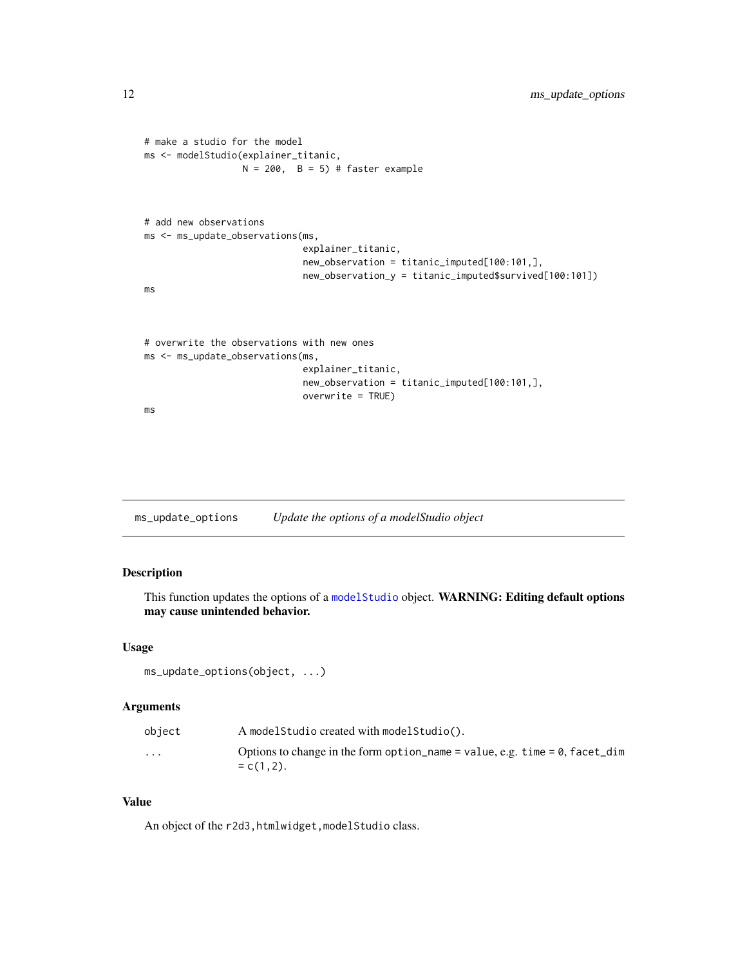```
# make a studio for the model
ms <- modelStudio(explainer_titanic,
                  N = 200, B = 5) # faster example
# add new observations
ms <- ms_update_observations(ms,
                             explainer_titanic,
                             new_observation = titanic_imputed[100:101,],
                             new_observation_y = titanic_imputed$survived[100:101])
ms
# overwrite the observations with new ones
ms <- ms_update_observations(ms,
                             explainer_titanic,
                             new_observation = titanic_imputed[100:101,],
                             overwrite = TRUE)
ms
```
ms\_update\_options *Update the options of a modelStudio object*

#### Description

This function updates the options of a [modelStudio](#page-2-1) object. WARNING: Editing default options may cause unintended behavior.

#### Usage

```
ms_update_options(object, ...)
```
#### Arguments

| object                  | A modelStudio created with modelStudio().                                                           |
|-------------------------|-----------------------------------------------------------------------------------------------------|
| $\cdot$ $\cdot$ $\cdot$ | Options to change in the form option name = value, e.g. time = $\theta$ , facet_dim<br>$= c(1,2)$ . |

#### Value

An object of the r2d3, htmlwidget, modelStudio class.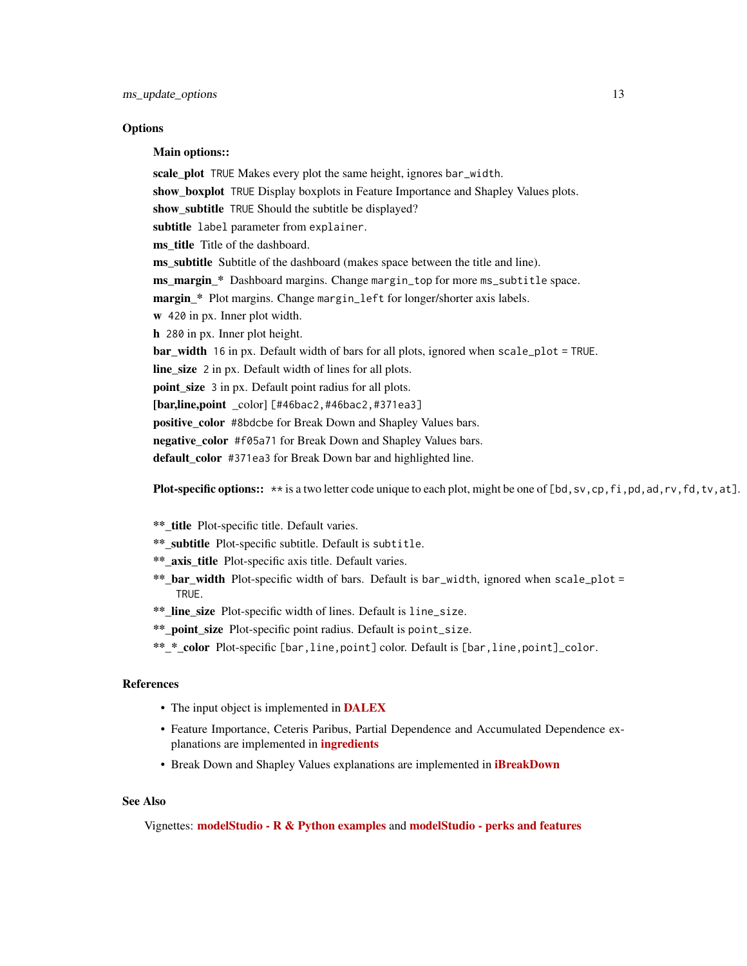#### **Options**

Main options::

scale\_plot TRUE Makes every plot the same height, ignores bar\_width. show\_boxplot TRUE Display boxplots in Feature Importance and Shapley Values plots. show subtitle TRUE Should the subtitle be displayed? subtitle label parameter from explainer. ms title Title of the dashboard. ms\_subtitle Subtitle of the dashboard (makes space between the title and line). ms\_margin\_\* Dashboard margins. Change margin\_top for more ms\_subtitle space. margin \* Plot margins. Change margin\_left for longer/shorter axis labels. w 420 in px. Inner plot width. h 280 in px. Inner plot height. bar\_width 16 in px. Default width of bars for all plots, ignored when scale\_plot = TRUE. line\_size 2 in px. Default width of lines for all plots. point\_size 3 in px. Default point radius for all plots. [bar,line,point color] [#46bac2,#46bac2,#371ea3] positive\_color #8bdcbe for Break Down and Shapley Values bars. negative color #f05a71 for Break Down and Shapley Values bars. default color #371ea3 for Break Down bar and highlighted line.

**Plot-specific options::**  $**$  is a two letter code unique to each plot, might be one of [bd, sv, cp, fi, pd, ad, rv, fd, tv, at].

- \*\* title Plot-specific title. Default varies.
- \*\*\_subtitle Plot-specific subtitle. Default is subtitle.
- \*\*\_axis\_title Plot-specific axis title. Default varies.
- \*\*\_bar\_width Plot-specific width of bars. Default is bar\_width, ignored when scale\_plot = **TRUF**
- \*\* line size Plot-specific width of lines. Default is line\_size.
- \*\*\_point\_size Plot-specific point radius. Default is point\_size.
- \*\* \* color Plot-specific [bar,line,point] color. Default is [bar,line,point]\_color.

#### References

- The input object is implemented in **[DALEX](https://modeloriented.github.io/DALEX/)**
- Feature Importance, Ceteris Paribus, Partial Dependence and Accumulated Dependence explanations are implemented in [ingredients](https://modeloriented.github.io/ingredients/)
- Break Down and Shapley Values explanations are implemented in *[iBreakDown](https://modeloriented.github.io/iBreakDown/)*

#### See Also

Vignettes: [modelStudio - R & Python examples](https://modelstudio.drwhy.ai/articles/ms-r-python-examples.html) and [modelStudio - perks and features](https://modelstudio.drwhy.ai/articles/ms-perks-features.html)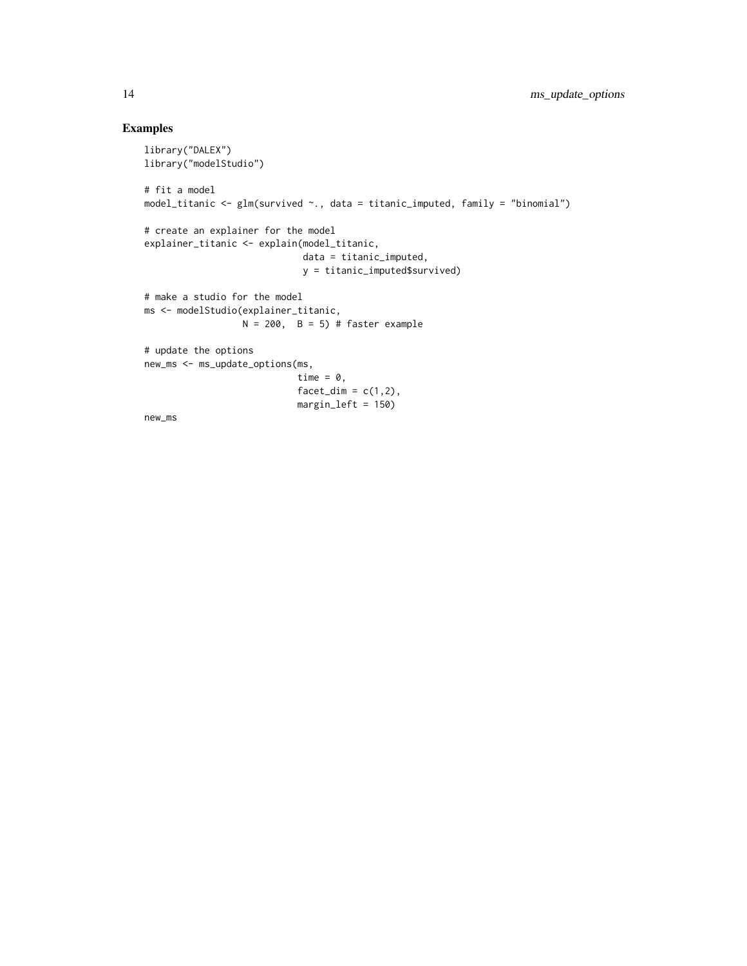```
library("DALEX")
library("modelStudio")
# fit a model
model_titanic <- glm(survived ~., data = titanic_imputed, family = "binomial")
# create an explainer for the model
explainer_titanic <- explain(model_titanic,
                             data = titanic_imputed,
                             y = titanic_imputed$survived)
# make a studio for the model
ms <- modelStudio(explainer_titanic,
                 N = 200, B = 5) # faster example
# update the options
new_ms <- ms_update_options(ms,
                            time = \theta,
                            factor\_dim = c(1,2),
                            margin_left = 150)
new_ms
```